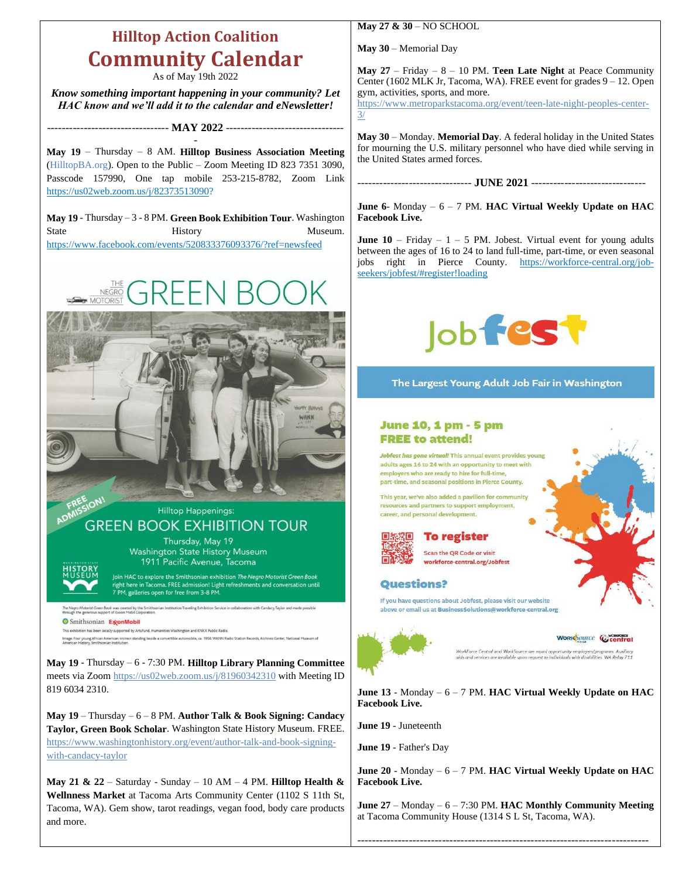# **Hilltop Action Coalition Community Calendar**

As of May 19th 2022

*Know something important happening in your community? Let HAC know and we'll add it to the calendar and eNewsletter!*

--------------------------------- **MAY 2022** --------------------------------

- **May 19** – Thursday – 8 AM. **Hilltop Business Association Meeting** (HilltopBA.org). Open to the Public – Zoom Meeting ID 823 7351 3090, Passcode 157990, One tap mobile 253-215-8782, Zoom Link [https://us02web.zoom.us/j/82373513090?](https://us02web.zoom.us/j/82373513090)

**May 19** - Thursday – 3 - 8 PM. **Green Book Exhibition Tour**. Washington State History History Museum. <https://www.facebook.com/events/520833376093376/?ref=newsfeed>



**Hilltop Happenings: GREEN BOOK EXHIBITION TOUR** Thursday, May 19 **Washington State History Museum** 1911 Pacific Avenue, Tacoma Join HAC to explore the Smithsonian exhibition The Negro Motorist Green Book right here in Tacoma. FREE admission! Light refreshments and conversation until<br>7 PM, galleries open for free from 3-8 PM.

ist Green Book was created by the Smithsonian Institution Traveling Exhibition Service in collaboration with Candacy Taylor and made possible<br>rous support of Exxon Mobil Corporation. Smithsonian ExconMobil This exhibition has been locally supported by ArtsFund, Humanities Washington and KNKX Public Radio.

Image: Four young African American women standing beside a convertible automo<br>American History, Smithsonian Institution.

**May 19** - Thursday – 6 - 7:30 PM. **Hilltop Library Planning Committee** meets via Zoo[m https://us02web.zoom.us/j/81960342310](https://us02web.zoom.us/j/81960342310) with Meeting ID 819 6034 2310.

**May 19** – Thursday – 6 – 8 PM. **Author Talk & Book Signing: Candacy Taylor, Green Book Scholar**. Washington State History Museum. FREE. [https://www.washingtonhistory.org/event/author-talk-and-book-signing](https://www.washingtonhistory.org/event/author-talk-and-book-signing-with-candacy-taylor)[with-candacy-taylor](https://www.washingtonhistory.org/event/author-talk-and-book-signing-with-candacy-taylor)

**May 21 & 22** – Saturday - Sunday – 10 AM – 4 PM. **Hilltop Health & Wellnness Market** at Tacoma Arts Community Center (1102 S 11th St, Tacoma, WA). Gem show, tarot readings, vegan food, body care products and more.

**May 27 & 30** – NO SCHOOL

**May 30** – Memorial Day

**May 27** – Friday – 8 – 10 PM. **Teen Late Night** at Peace Community Center (1602 MLK Jr, Tacoma, WA). FREE event for grades 9 – 12. Open gym, activities, sports, and more.

[https://www.metroparkstacoma.org/event/teen-late-night-peoples-center-](https://www.metroparkstacoma.org/event/teen-late-night-peoples-center-3/)[3/](https://www.metroparkstacoma.org/event/teen-late-night-peoples-center-3/)

**May 30** – Monday. **Memorial Day**. A federal holiday in the United States for mourning the U.S. military personnel who have died while serving in the United States armed forces.

------------------------------- **JUNE 2021** -------------------------------

**June 6**- Monday – 6 – 7 PM. **HAC Virtual Weekly Update on HAC Facebook Live.**

**June 10** – Friday –  $1 - 5$  PM. Jobest. Virtual event for young adults between the ages of 16 to 24 to land full-time, part-time, or even seasonal jobs right in Pierce County. [https://workforce-central.org/job](https://workforce-central.org/job-seekers/jobfest/#register!loading)[seekers/jobfest/#register!loading](https://workforce-central.org/job-seekers/jobfest/#register!loading)



### The Largest Young Adult Job Fair in Washington

### **June 10, 1 pm - 5 pm FREE to attend!**

Jobfest has gone virtual! This annual event provides young adults ages 16 to 24 with an opportunity to meet with employers who are ready to hire for full-time. part-time, and seasonal positions in Pierce County.

This year, we've also added a pavilion for community resources and partners to support employment, career, and personal development.



## **To register**

Scan the QR Code or visit workforce-central.org/Jobfest

#### **Questions?**

If you have questions about Jobfest, please visit our website above or email us at BusinessSolutions@workforce-central.org



## WORKSource Central

WorkForce Central and WorkSource are equal opportunity employers/r<br>aids and services are available upon request to individuals with disabilit

**June 13** - Monday – 6 – 7 PM. **HAC Virtual Weekly Update on HAC Facebook Live.**

**June 19** - Juneteenth

**June 19** - Father's Day

**June 20** - Monday – 6 – 7 PM. **HAC Virtual Weekly Update on HAC Facebook Live.**

**June 27** – Monday – 6 – 7:30 PM. **HAC Monthly Community Meeting**  at Tacoma Community House (1314 S L St, Tacoma, WA).

-------------------------------------------------------------------------------